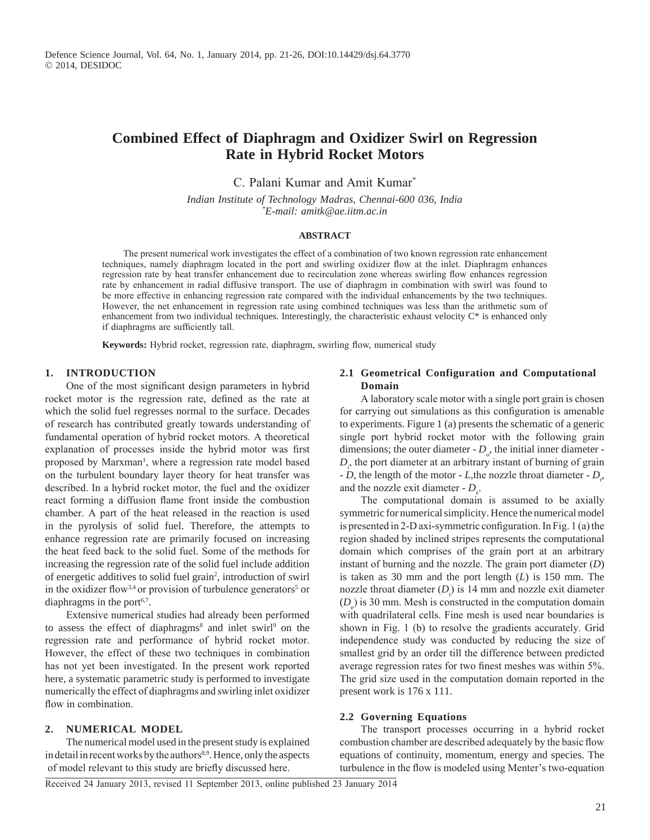# **Combined Effect of Diaphragm and Oxidizer Swirl on Regression Rate in Hybrid Rocket Motors**

C. Palani Kumar and Amit Kumar\*

*Indian Institute of Technology Madras, Chennai-600 036, India \* E-mail: amitk@ae.iitm.ac.in*

### **ABSTRACT**

The present numerical work investigates the effect of a combination of two known regression rate enhancement techniques, namely diaphragm located in the port and swirling oxidizer flow at the inlet. Diaphragm enhances regression rate by heat transfer enhancement due to recirculation zone whereas swirling flow enhances regression rate by enhancement in radial diffusive transport. The use of diaphragm in combination with swirl was found to be more effective in enhancing regression rate compared with the individual enhancements by the two techniques. However, the net enhancement in regression rate using combined techniques was less than the arithmetic sum of enhancement from two individual techniques. Interestingly, the characteristic exhaust velocity C\* is enhanced only if diaphragms are sufficiently tall.

**Keywords:** Hybrid rocket, regression rate, diaphragm, swirling flow, numerical study

# **1. Introduction**

One of the most significant design parameters in hybrid rocket motor is the regression rate, defined as the rate at which the solid fuel regresses normal to the surface. Decades of research has contributed greatly towards understanding of fundamental operation of hybrid rocket motors. A theoretical explanation of processes inside the hybrid motor was first proposed by Marxman<sup>1</sup>, where a regression rate model based on the turbulent boundary layer theory for heat transfer was described. In a hybrid rocket motor, the fuel and the oxidizer react forming a diffusion flame front inside the combustion chamber. A part of the heat released in the reaction is used in the pyrolysis of solid fuel. Therefore, the attempts to enhance regression rate are primarily focused on increasing the heat feed back to the solid fuel. Some of the methods for increasing the regression rate of the solid fuel include addition of energetic additives to solid fuel grain<sup>2</sup>, introduction of swirl in the oxidizer flow<sup>3,4</sup> or provision of turbulence generators<sup>5</sup> or diaphragms in the port $6,7$ .

Extensive numerical studies had already been performed to assess the effect of diaphragms<sup>8</sup> and inlet swirl<sup>9</sup> on the regression rate and performance of hybrid rocket motor. However, the effect of these two techniques in combination has not yet been investigated. In the present work reported here, a systematic parametric study is performed to investigate numerically the effect of diaphragms and swirling inlet oxidizer flow in combination.

## **2. Numerical Model**

The numerical model used in the present study is explained in detail in recent works by the authors<sup>8,9</sup>. Hence, only the aspects of model relevant to this study are briefly discussed here.

# **2.1 Geometrical Configuration and Computational Domain**

A laboratory scale motor with a single port grain is chosen for carrying out simulations as this configuration is amenable to experiments. Figure 1 (a) presents the schematic of a generic single port hybrid rocket motor with the following grain dimensions; the outer diameter  $-D_{\rho}$ , the initial inner diameter - $D_i$ , the port diameter at an arbitrary instant of burning of grain  $-D$ , the length of the motor - *L*, the nozzle throat diameter -  $D_t$ , and the nozzle exit diameter -  $D_e$ .

The computational domain is assumed to be axially symmetric for numerical simplicity. Hence the numerical model is presented in 2-D axi-symmetric configuration. In Fig. 1 (a) the region shaded by inclined stripes represents the computational domain which comprises of the grain port at an arbitrary instant of burning and the nozzle. The grain port diameter (*D*) is taken as 30 mm and the port length (*L*) is 150 mm. The nozzle throat diameter  $(D_i)$  is 14 mm and nozzle exit diameter  $(D_e)$  is 30 mm. Mesh is constructed in the computation domain with quadrilateral cells. Fine mesh is used near boundaries is shown in Fig. 1 (b) to resolve the gradients accurately. Grid independence study was conducted by reducing the size of smallest grid by an order till the difference between predicted average regression rates for two finest meshes was within 5%. The grid size used in the computation domain reported in the present work is 176 x 111.

## **2.2 Governing Equations**

The transport processes occurring in a hybrid rocket combustion chamber are described adequately by the basic flow equations of continuity, momentum, energy and species. The turbulence in the flow is modeled using Menter's two-equation

Received 24 January 2013, revised 11 September 2013, online published 23 January 2014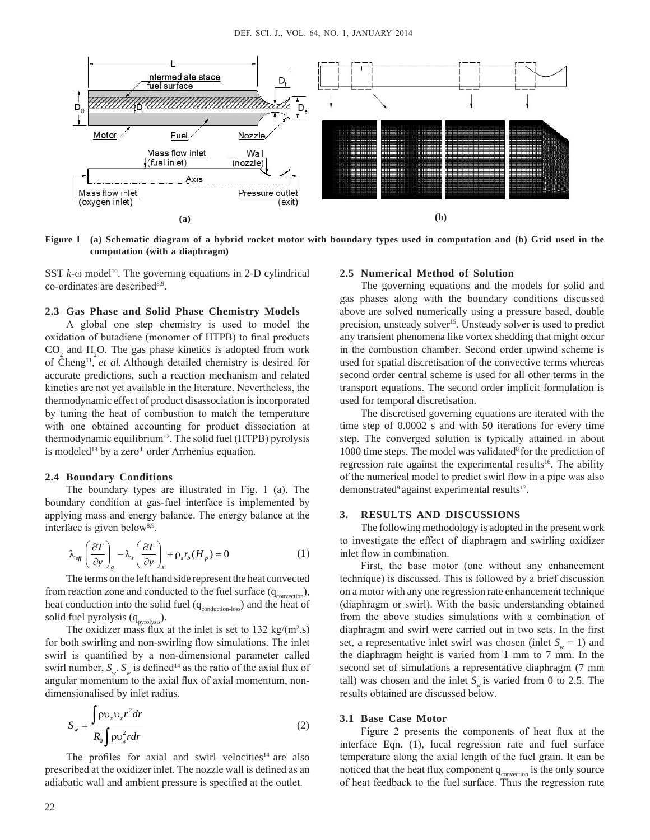

**Figure 1 (a) Schematic diagram of a hybrid rocket motor with boundary types used in computation and (b) Grid used in the computation (with a diaphragm)**

SST  $k$ - $\omega$  model<sup>10</sup>. The governing equations in 2-D cylindrical co-ordinates are described<sup>8,9</sup>.

### **2.3 Gas Phase and Solid Phase Chemistry Models**

A global one step chemistry is used to model the oxidation of butadiene (monomer of HTPB) to final products  $CO<sub>2</sub>$  and H<sub>2</sub>O. The gas phase kinetics is adopted from work of Cheng11, *et al.* Although detailed chemistry is desired for accurate predictions, such a reaction mechanism and related kinetics are not yet available in the literature. Nevertheless, the thermodynamic effect of product disassociation is incorporated by tuning the heat of combustion to match the temperature with one obtained accounting for product dissociation at thermodynamic equilibrium<sup>12</sup>. The solid fuel (HTPB) pyrolysis is modeled<sup>13</sup> by a zero<sup>th</sup> order Arrhenius equation.

#### **2.4 Boundary Conditions**

The boundary types are illustrated in Fig. 1 (a). The boundary condition at gas-fuel interface is implemented by applying mass and energy balance. The energy balance at the interface is given below<sup>8,9</sup>.

$$
\lambda_{\text{eff}} \left( \frac{\partial T}{\partial y} \right)_s - \lambda_s \left( \frac{\partial T}{\partial y} \right)_s + \rho_s r_b (H_p) = 0 \tag{1}
$$

The terms on the left hand side represent the heat convected from reaction zone and conducted to the fuel surface  $(q_{\text{convection}})$ , heat conduction into the solid fuel  $(q_{\text{conduction-loss}})$  and the heat of solid fuel pyrolysis  $(q_{pyrolysis})$ .

The oxidizer mass flux at the inlet is set to 132 kg/(m<sup>2</sup>.s) for both swirling and non-swirling flow simulations. The inlet swirl is quantified by a non-dimensional parameter called swirl number,  $S_{w}$ .  $S_{w}$  is defined<sup>14</sup> as the ratio of the axial flux of angular momentum to the axial flux of axial momentum, nondimensionalised by inlet radius.

$$
S_w = \frac{\int \rho v_x v_z r^2 dr}{R_0 \int \rho v_x^2 r dr}
$$
 (2)

The profiles for axial and swirl velocities<sup>14</sup> are also prescribed at the oxidizer inlet. The nozzle wall is defined as an adiabatic wall and ambient pressure is specified at the outlet.

#### **2.5 Numerical Method of Solution**

The governing equations and the models for solid and gas phases along with the boundary conditions discussed above are solved numerically using a pressure based, double precision, unsteady solver<sup>15</sup>. Unsteady solver is used to predict any transient phenomena like vortex shedding that might occur in the combustion chamber. Second order upwind scheme is used for spatial discretisation of the convective terms whereas second order central scheme is used for all other terms in the transport equations. The second order implicit formulation is used for temporal discretisation.

The discretised governing equations are iterated with the time step of 0.0002 s and with 50 iterations for every time step. The converged solution is typically attained in about 1000 time steps. The model was validated<sup>8</sup> for the prediction of regression rate against the experimental results<sup>16</sup>. The ability of the numerical model to predict swirl flow in a pipe was also demonstrated<sup>9</sup> against experimental results<sup>17</sup>.

#### **3. Results and Discussions**

The following methodology is adopted in the present work to investigate the effect of diaphragm and swirling oxidizer inlet flow in combination.

First, the base motor (one without any enhancement technique) is discussed. This is followed by a brief discussion on a motor with any one regression rate enhancement technique (diaphragm or swirl). With the basic understanding obtained from the above studies simulations with a combination of diaphragm and swirl were carried out in two sets. In the first set, a representative inlet swirl was chosen (inlet  $S_w = 1$ ) and the diaphragm height is varied from 1 mm to 7 mm. In the second set of simulations a representative diaphragm (7 mm tall) was chosen and the inlet  $S_{\mu}$  is varied from 0 to 2.5. The results obtained are discussed below.

#### **3.1 Base Case Motor**

Figure 2 presents the components of heat flux at the interface Eqn. (1), local regression rate and fuel surface temperature along the axial length of the fuel grain. It can be noticed that the heat flux component  $q_{\text{convection}}$  is the only source of heat feedback to the fuel surface. Thus the regression rate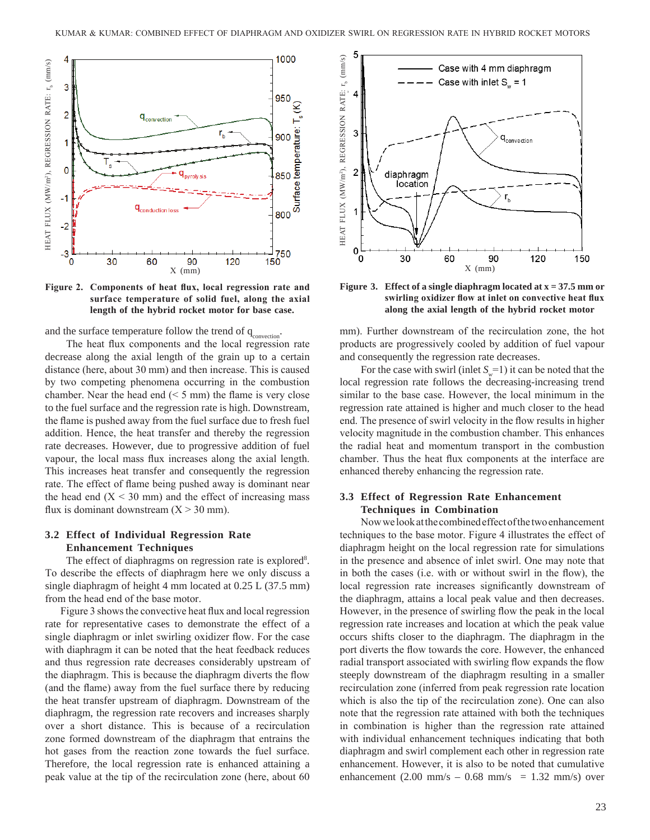

**Figure 2. Components of heat flux, local regression rate and surface temperature of solid fuel, along the axial length of the hybrid rocket motor for base case.**

and the surface temperature follow the trend of  $q_{\text{convection}}$ .

The heat flux components and the local regression rate decrease along the axial length of the grain up to a certain distance (here, about 30 mm) and then increase. This is caused by two competing phenomena occurring in the combustion chamber. Near the head end  $(< 5$  mm) the flame is very close to the fuel surface and the regression rate is high. Downstream, the flame is pushed away from the fuel surface due to fresh fuel addition. Hence, the heat transfer and thereby the regression rate decreases. However, due to progressive addition of fuel vapour, the local mass flux increases along the axial length. This increases heat transfer and consequently the regression rate. The effect of flame being pushed away is dominant near the head end  $(X < 30$  mm) and the effect of increasing mass flux is dominant downstream  $(X > 30$  mm).

# **3.2 Effect of Individual Regression Rate Enhancement Techniques**

The effect of diaphragms on regression rate is explored<sup>8</sup>. To describe the effects of diaphragm here we only discuss a single diaphragm of height 4 mm located at 0.25 L (37.5 mm) from the head end of the base motor.

Figure 3 shows the convective heat flux and local regression rate for representative cases to demonstrate the effect of a single diaphragm or inlet swirling oxidizer flow. For the case with diaphragm it can be noted that the heat feedback reduces and thus regression rate decreases considerably upstream of the diaphragm. This is because the diaphragm diverts the flow (and the flame) away from the fuel surface there by reducing the heat transfer upstream of diaphragm. Downstream of the diaphragm, the regression rate recovers and increases sharply over a short distance. This is because of a recirculation zone formed downstream of the diaphragm that entrains the hot gases from the reaction zone towards the fuel surface. Therefore, the local regression rate is enhanced attaining a peak value at the tip of the recirculation zone (here, about 60



**Figure 3. Effect of a single diaphragm located at x = 37.5 mm or swirling oxidizer flow at inlet on convective heat flux along the axial length of the hybrid rocket motor**

mm). Further downstream of the recirculation zone, the hot products are progressively cooled by addition of fuel vapour and consequently the regression rate decreases.

For the case with swirl (inlet  $S_n = 1$ ) it can be noted that the local regression rate follows the decreasing-increasing trend similar to the base case. However, the local minimum in the regression rate attained is higher and much closer to the head end. The presence of swirl velocity in the flow results in higher velocity magnitude in the combustion chamber. This enhances the radial heat and momentum transport in the combustion chamber. Thus the heat flux components at the interface are enhanced thereby enhancing the regression rate.

# **3.3 Effect of Regression Rate Enhancement Techniques in Combination**

Now we look at the combined effect of the two enhancement techniques to the base motor. Figure 4 illustrates the effect of diaphragm height on the local regression rate for simulations in the presence and absence of inlet swirl. One may note that in both the cases (i.e. with or without swirl in the flow), the local regression rate increases significantly downstream of the diaphragm, attains a local peak value and then decreases. However, in the presence of swirling flow the peak in the local regression rate increases and location at which the peak value occurs shifts closer to the diaphragm. The diaphragm in the port diverts the flow towards the core. However, the enhanced radial transport associated with swirling flow expands the flow steeply downstream of the diaphragm resulting in a smaller recirculation zone (inferred from peak regression rate location which is also the tip of the recirculation zone). One can also note that the regression rate attained with both the techniques in combination is higher than the regression rate attained with individual enhancement techniques indicating that both diaphragm and swirl complement each other in regression rate enhancement. However, it is also to be noted that cumulative enhancement  $(2.00 \text{ mm/s} - 0.68 \text{ mm/s} = 1.32 \text{ mm/s})$  over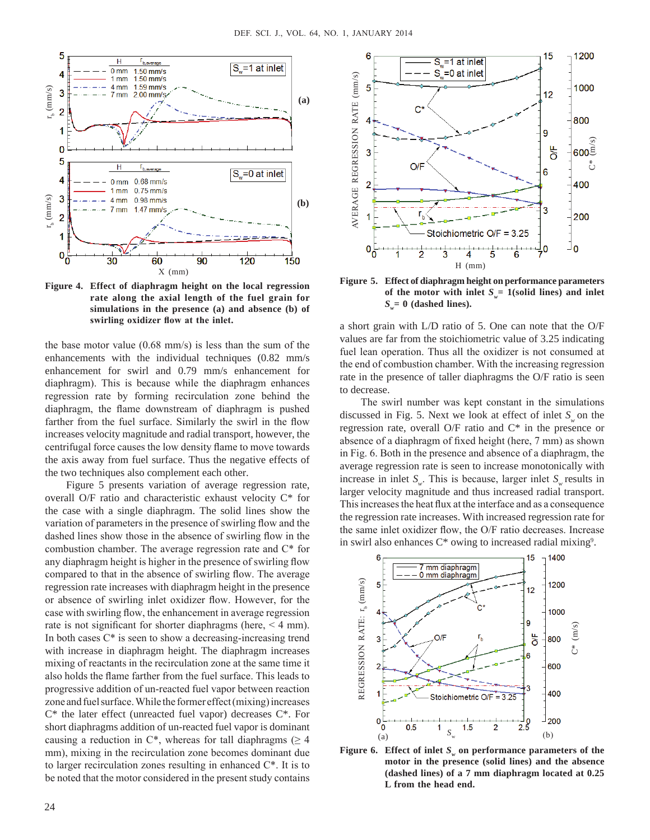

**Figure 4. Effect of diaphragm height on the local regression rate along the axial length of the fuel grain for simulations in the presence (a) and absence (b) of swirling oxidizer flow at the inlet.**

the base motor value (0.68 mm/s) is less than the sum of the enhancements with the individual techniques (0.82 mm/s enhancement for swirl and 0.79 mm/s enhancement for diaphragm). This is because while the diaphragm enhances regression rate by forming recirculation zone behind the diaphragm, the flame downstream of diaphragm is pushed farther from the fuel surface. Similarly the swirl in the flow increases velocity magnitude and radial transport, however, the centrifugal force causes the low density flame to move towards the axis away from fuel surface. Thus the negative effects of the two techniques also complement each other.

Figure 5 presents variation of average regression rate, overall O/F ratio and characteristic exhaust velocity C\* for the case with a single diaphragm. The solid lines show the variation of parameters in the presence of swirling flow and the dashed lines show those in the absence of swirling flow in the combustion chamber. The average regression rate and C\* for any diaphragm height is higher in the presence of swirling flow compared to that in the absence of swirling flow. The average regression rate increases with diaphragm height in the presence or absence of swirling inlet oxidizer flow. However, for the case with swirling flow, the enhancement in average regression rate is not significant for shorter diaphragms (here, < 4 mm). In both cases C\* is seen to show a decreasing-increasing trend with increase in diaphragm height. The diaphragm increases mixing of reactants in the recirculation zone at the same time it also holds the flame farther from the fuel surface. This leads to progressive addition of un-reacted fuel vapor between reaction zone and fuel surface. While the former effect (mixing) increases C\* the later effect (unreacted fuel vapor) decreases C\*. For short diaphragms addition of un-reacted fuel vapor is dominant causing a reduction in  $C^*$ , whereas for tall diaphragms ( $\geq 4$ ) mm), mixing in the recirculation zone becomes dominant due to larger recirculation zones resulting in enhanced C\*. It is to be noted that the motor considered in the present study contains



**Figure 5. Effect of diaphragm height on performance parameters**  of the motor with inlet  $S_v = 1$  (solid lines) and inlet  $S_v = 0$  (dashed lines).

a short grain with L/D ratio of 5. One can note that the O/F values are far from the stoichiometric value of 3.25 indicating fuel lean operation. Thus all the oxidizer is not consumed at the end of combustion chamber. With the increasing regression rate in the presence of taller diaphragms the O/F ratio is seen to decrease.

The swirl number was kept constant in the simulations discussed in Fig. 5. Next we look at effect of inlet *S*<sub>*m*</sub> on the regression rate, overall O/F ratio and C\* in the presence or absence of a diaphragm of fixed height (here, 7 mm) as shown in Fig. 6. Both in the presence and absence of a diaphragm, the average regression rate is seen to increase monotonically with increase in inlet  $S_{\mu}$ . This is because, larger inlet  $S_{\mu}$  results in larger velocity magnitude and thus increased radial transport. This increases the heat flux at the interface and as a consequence the regression rate increases. With increased regression rate for the same inlet oxidizer flow, the O/F ratio decreases. Increase in swirl also enhances C\* owing to increased radial mixing<sup>9</sup>.



**Figure 6.** Effect of inlet  $S_{\omega}$  on performance parameters of the **motor in the presence (solid lines) and the absence (dashed lines) of a 7 mm diaphragm located at 0.25 L from the head end.**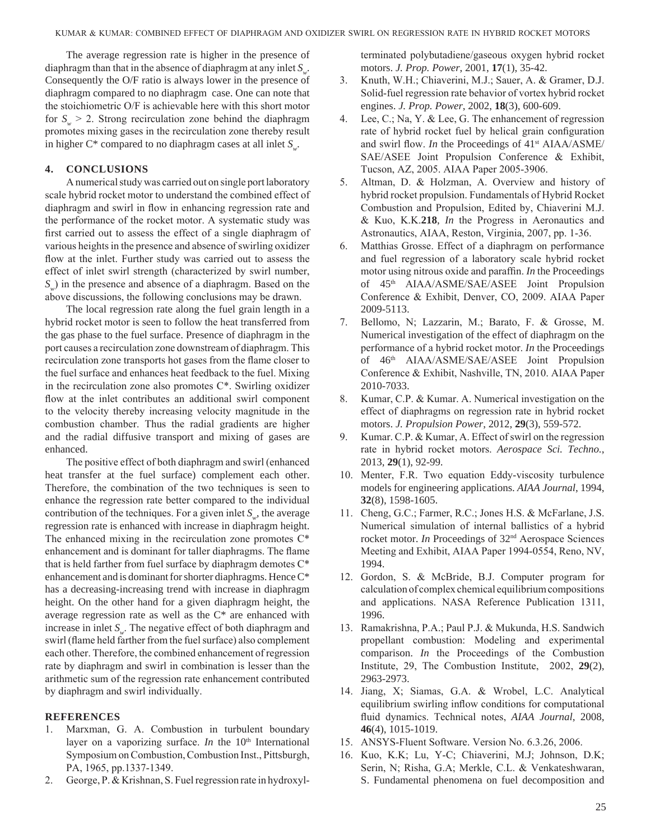The average regression rate is higher in the presence of diaphragm than that in the absence of diaphragm at any inlet *S<sub>w</sub>*. Consequently the O/F ratio is always lower in the presence of diaphragm compared to no diaphragm case. One can note that the stoichiometric O/F is achievable here with this short motor for  $S_v > 2$ . Strong recirculation zone behind the diaphragm promotes mixing gases in the recirculation zone thereby result in higher  $C^*$  compared to no diaphragm cases at all inlet  $S_{\omega}$ .

# **4. Conclusions**

A numerical study was carried out on single port laboratory scale hybrid rocket motor to understand the combined effect of diaphragm and swirl in flow in enhancing regression rate and the performance of the rocket motor. A systematic study was first carried out to assess the effect of a single diaphragm of various heights in the presence and absence of swirling oxidizer flow at the inlet. Further study was carried out to assess the effect of inlet swirl strength (characterized by swirl number, *S<sub>w</sub>*) in the presence and absence of a diaphragm. Based on the above discussions, the following conclusions may be drawn.

The local regression rate along the fuel grain length in a hybrid rocket motor is seen to follow the heat transferred from the gas phase to the fuel surface. Presence of diaphragm in the port causes a recirculation zone downstream of diaphragm. This recirculation zone transports hot gases from the flame closer to the fuel surface and enhances heat feedback to the fuel. Mixing in the recirculation zone also promotes  $C^*$ . Swirling oxidizer flow at the inlet contributes an additional swirl component to the velocity thereby increasing velocity magnitude in the combustion chamber. Thus the radial gradients are higher and the radial diffusive transport and mixing of gases are enhanced.

The positive effect of both diaphragm and swirl (enhanced heat transfer at the fuel surface) complement each other. Therefore, the combination of the two techniques is seen to enhance the regression rate better compared to the individual contribution of the techniques. For a given inlet  $S_{\mu}$ , the average regression rate is enhanced with increase in diaphragm height. The enhanced mixing in the recirculation zone promotes C\* enhancement and is dominant for taller diaphragms. The flame that is held farther from fuel surface by diaphragm demotes C\* enhancement and is dominant for shorter diaphragms. Hence C\* has a decreasing-increasing trend with increase in diaphragm height. On the other hand for a given diaphragm height, the average regression rate as well as the C\* are enhanced with increase in inlet *S<sub>w</sub>*. The negative effect of both diaphragm and swirl (flame held farther from the fuel surface) also complement each other. Therefore, the combined enhancement of regression rate by diaphragm and swirl in combination is lesser than the arithmetic sum of the regression rate enhancement contributed by diaphragm and swirl individually.

## **References**

- 1. Marxman, G. A. Combustion in turbulent boundary layer on a vaporizing surface. *In* the 10<sup>th</sup> International Symposium on Combustion, Combustion Inst., Pittsburgh, PA, 1965, pp.1337-1349.
- 2. George, P. & Krishnan, S. Fuel regression rate in hydroxyl-

terminated polybutadiene/gaseous oxygen hybrid rocket motors. *J. Prop. Power*, 2001, **17**(1), 35-42.

- 3. Knuth, W.H.; Chiaverini, M.J.; Sauer, A. & Gramer, D.J. Solid-fuel regression rate behavior of vortex hybrid rocket engines. *J. Prop. Power*, 2002, **18**(3), 600-609.
- 4. Lee, C.; Na, Y. & Lee, G. The enhancement of regression rate of hybrid rocket fuel by helical grain configuration and swirl flow. *In* the Proceedings of 41<sup>st</sup> AIAA/ASME/ SAE/ASEE Joint Propulsion Conference & Exhibit, Tucson, AZ, 2005. AIAA Paper 2005-3906.
- 5. Altman, D. & Holzman, A. Overview and history of hybrid rocket propulsion. Fundamentals of Hybrid Rocket Combustion and Propulsion, Edited by, Chiaverini M.J. & Kuo, K.K.**218**, *In* the Progress in Aeronautics and Astronautics, AIAA, Reston, Virginia, 2007, pp. 1-36.
- 6. Matthias Grosse. Effect of a diaphragm on performance and fuel regression of a laboratory scale hybrid rocket motor using nitrous oxide and paraffin. *In* the Proceedings of 45<sup>th</sup> AIAA/ASME/SAE/ASEE Joint Propulsion Conference & Exhibit, Denver, CO, 2009. AIAA Paper 2009-5113.
- 7. Bellomo, N; Lazzarin, M.; Barato, F. & Grosse, M. Numerical investigation of the effect of diaphragm on the performance of a hybrid rocket motor. *In* the Proceedings of 46<sup>th</sup> AIAA/ASME/SAE/ASEE Joint Propulsion Conference & Exhibit, Nashville, TN, 2010. AIAA Paper 2010-7033.
- 8. Kumar, C.P. & Kumar. A. Numerical investigation on the effect of diaphragms on regression rate in hybrid rocket motors. *J. Propulsion Power*, 2012, **29**(3), 559-572.
- 9. Kumar. C.P. & Kumar, A. Effect of swirl on the regression rate in hybrid rocket motors. *Aerospace Sci. Techno.*, 2013, **29**(1), 92-99.
- 10. Menter, F.R. Two equation Eddy-viscosity turbulence models for engineering applications. *AIAA Journal*, 1994, **32**(8), 1598-1605.
- 11. Cheng, G.C.; Farmer, R.C.; Jones H.S. & McFarlane, J.S. Numerical simulation of internal ballistics of a hybrid rocket motor. *In* Proceedings of 32nd Aerospace Sciences Meeting and Exhibit, AIAA Paper 1994-0554, Reno, NV, 1994.
- 12. Gordon, S. & McBride, B.J. Computer program for calculation of complex chemical equilibrium compositions and applications. NASA Reference Publication 1311, 1996.
- 13. Ramakrishna, P.A.; Paul P.J. & Mukunda, H.S. Sandwich propellant combustion: Modeling and experimental comparison. *In* the Proceedings of the Combustion Institute, 29, The Combustion Institute, 2002, **29**(2), 2963-2973.
- 14. Jiang, X; Siamas, G.A. & Wrobel, L.C. Analytical equilibrium swirling inflow conditions for computational fluid dynamics. Technical notes, *AIAA Journal*, 2008, **46**(4), 1015-1019.
- 15. ANSYS-Fluent Software. Version No. 6.3.26, 2006.
- 16. Kuo, K.K; Lu, Y-C; Chiaverini, M.J; Johnson, D.K; Serin, N; Risha, G.A; Merkle, C.L. & Venkateshwaran, S. Fundamental phenomena on fuel decomposition and